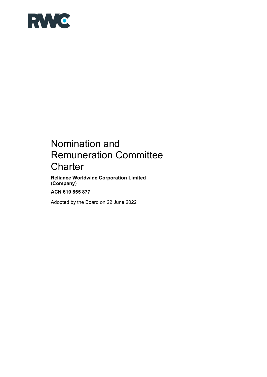

# Nomination and Remuneration Committee **Charter**

**Reliance Worldwide Corporation Limited** (**Company**)

**ACN 610 855 877** 

Adopted by the Board on 22 June 2022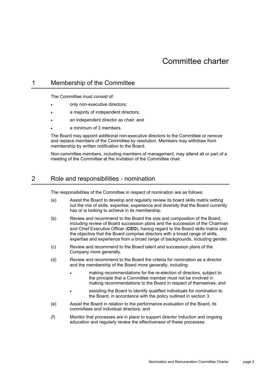## 1 Membership of the Committee

The Committee must consist of:

- only non-executive directors;
- a majority of independent directors;
- an independent director as chair; and
- a minimum of 3 members.

The Board may appoint additional non-executive directors to the Committee or remove and replace members of the Committee by resolution. Members may withdraw from membership by written notification to the Board.

Non-committee members, including members of management, may attend all or part of a meeting of the Committee at the invitation of the Committee chair.

## 2 Role and responsibilities - nomination

The responsibilities of the Committee in respect of nomination are as follows:

- (a) Assist the Board to develop and regularly review its board skills matrix setting out the mix of skills, expertise, experience and diversity that the Board currently has or is looking to achieve in its membership.
- (b) Review and recommend to the Board the size and composition of the Board, including review of Board succession plans and the succession of the Chairman and Chief Executive Officer (**CEO**), having regard to the Board skills matrix and the objective that the Board comprise directors with a broad range of skills, expertise and experience from a broad range of backgrounds, including gender.
- (c) Review and recommend to the Board talent and succession plans of the Company more generally.
- (d) Review and recommend to the Board the criteria for nomination as a director and the membership of the Board more generally, including:
	- making recommendations for the re-election of directors, subject to the principle that a Committee member must not be involved in making recommendations to the Board in respect of themselves; and
	- assisting the Board to identify qualified individuals for nomination to the Board, in accordance with the policy outlined in section 3.
- (e) Assist the Board in relation to the performance evaluation of the Board, its committees and individual directors; and
- (f) Monitor that processes are in place to support director induction and ongoing education and regularly review the effectiveness of these processes.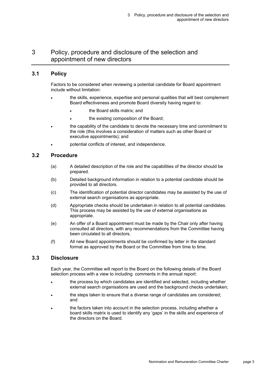# 3 Policy, procedure and disclosure of the selection and appointment of new directors

## **3.1 Policy**

Factors to be considered when reviewing a potential candidate for Board appointment include without limitation:

- the skills, experience, expertise and personal qualities that will best complement Board effectiveness and promote Board diversity having regard to:
	- the Board skills matrix; and
	- the existing composition of the Board;
- the capability of the candidate to devote the necessary time and commitment to the role (this involves a consideration of matters such as other Board or executive appointments); and
- potential conflicts of interest, and independence.

#### **3.2 Procedure**

- (a) A detailed description of the role and the capabilities of the director should be prepared.
- (b) Detailed background information in relation to a potential candidate should be provided to all directors.
- (c) The identification of potential director candidates may be assisted by the use of external search organisations as appropriate.
- (d) Appropriate checks should be undertaken in relation to all potential candidates. This process may be assisted by the use of external organisations as appropriate.
- (e) An offer of a Board appointment must be made by the Chair only after having consulted all directors, with any recommendations from the Committee having been circulated to all directors.
- (f) All new Board appointments should be confirmed by letter in the standard format as approved by the Board or the Committee from time to time.

#### **3.3 Disclosure**

Each year, the Committee will report to the Board on the following details of the Board selection process with a view to including comments in the annual report:

- the process by which candidates are identified and selected, including whether external search organisations are used and the background checks undertaken;
- the steps taken to ensure that a diverse range of candidates are considered; and
- the factors taken into account in the selection process, including whether a board skills matrix is used to identify any 'gaps' in the skills and experience of the directors on the Board.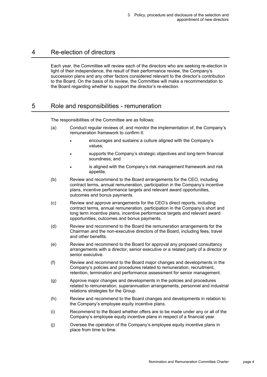## 4 Re-election of directors

Each year, the Committee will review each of the directors who are seeking re-election in light of their independence, the result of their performance review, the Company's succession plans and any other factors considered relevant to the director's contribution to the Board. On the basis of its review, the Committee will make a recommendation to the Board regarding whether to support the director's re-election.

# 5 Role and responsibilities - remuneration

The responsibilities of the Committee are as follows:

- (a) Conduct regular reviews of, and monitor the implementation of, the Company's remuneration framework to confirm it:
	- encourages and sustains a culture aligned with the Company's values;
	- supports the Company's strategic objectives and long-term financial soundness; and
	- is aligned with the Company's risk management framework and risk appetite.
- (b) Review and recommend to the Board arrangements for the CEO, including contract terms, annual remuneration, participation in the Company's incentive plans, incentive performance targets and relevant award opportunities, outcomes and bonus payments.
- (c) Review and approve arrangements for the CEO's direct reports, including contract terms, annual remuneration, participation in the Company's short and long term incentive plans, incentive performance targets and relevant award opportunities, outcomes and bonus payments.
- (d) Review and recommend to the Board the remuneration arrangements for the Chairman and the non-executive directors of the Board, including fees, travel and other benefits.
- (e) Review and recommend to the Board for approval any proposed consultancy arrangements with a director, senior executive or a related party of a director or senior executive.
- (f) Review and recommend to the Board major changes and developments in the Company's policies and procedures related to remuneration, recruitment, retention, termination and performance assessment for senior management.
- (g) Approve major changes and developments in the policies and procedures related to remuneration, superannuation arrangements, personnel and industrial relations strategies for the Group.
- (h) Review and recommend to the Board changes and developments in relation to the Company's employee equity incentive plans.
- (i) Recommend to the Board whether offers are to be made under any or all of the Company's employee equity incentive plans in respect of a financial year.
- (j) Oversee the operation of the Company's employee equity incentive plans in place from time to time.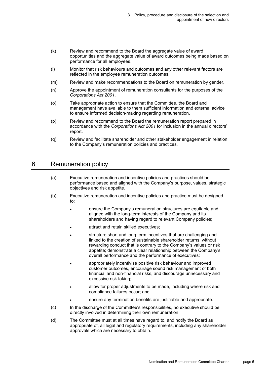- (k) Review and recommend to the Board the aggregate value of award opportunities and the aggregate value of award outcomes being made based on performance for all employees.
- (l) Monitor that risk behaviours and outcomes and any other relevant factors are reflected in the employee remuneration outcomes.
- (m) Review and make recommendations to the Board on remuneration by gender.
- (n) Approve the appointment of remuneration consultants for the purposes of the *Corporations Act 2001*.
- (o) Take appropriate action to ensure that the Committee, the Board and management have available to them sufficient information and external advice to ensure informed decision-making regarding remuneration.
- (p) Review and recommend to the Board the remuneration report prepared in accordance with the *Corporations Act 2001* for inclusion in the annual directors' report.
- (q) Review and facilitate shareholder and other stakeholder engagement in relation to the Company's remuneration policies and practices.

# 6 Remuneration policy

- (a) Executive remuneration and incentive policies and practices should be performance based and aligned with the Company's purpose, values, strategic objectives and risk appetite.
- (b) Executive remuneration and incentive policies and practice must be designed to:
	- ensure the Company's remuneration structures are equitable and aligned with the long-term interests of the Company and its shareholders and having regard to relevant Company policies;
	- attract and retain skilled executives;
	- structure short and long term incentives that are challenging and linked to the creation of sustainable shareholder returns, without rewarding conduct that is contrary to the Company's values or risk appetite; demonstrate a clear relationship between the Company's overall performance and the performance of executives;
	- appropriately incentivise positive risk behaviour and improved customer outcomes, encourage sound risk management of both financial and non-financial risks, and discourage unnecessary and excessive risk taking;
	- allow for proper adjustments to be made, including where risk and compliance failures occur; and
		- ensure any termination benefits are justifiable and appropriate.
- (c) In the discharge of the Committee's responsibilities, no executive should be directly involved in determining their own remuneration.
- (d) The Committee must at all times have regard to, and notify the Board as appropriate of, all legal and regulatory requirements, including any shareholder approvals which are necessary to obtain.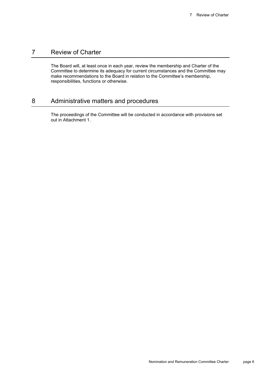# 7 Review of Charter

The Board will, at least once in each year, review the membership and Charter of the Committee to determine its adequacy for current circumstances and the Committee may make recommendations to the Board in relation to the Committee's membership, responsibilities, functions or otherwise.

# 8 Administrative matters and procedures

The proceedings of the Committee will be conducted in accordance with provisions set out in Attachment 1.